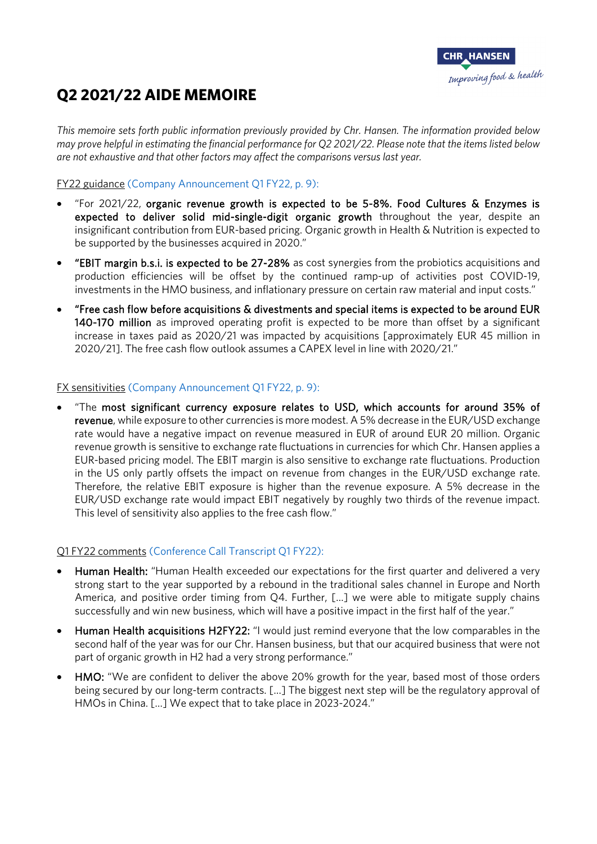

# **Q2 2021/22 AIDE MEMOIRE**

*This memoire sets forth public information previously provided by Chr. Hansen. The information provided below may prove helpful in estimating the financial performance for Q2 2021/22. Please note that the items listed below are not exhaustive and that other factors may affect the comparisons versus last year.*

### FY22 guidance [\(Company Announcement Q1 FY22, p. 9\):](https://eur03.safelinks.protection.outlook.com/?url=https%3A%2F%2Fwww.chr-hansen.com%2F_%2Fmedia%2Ffiles%2Fchrhansen%2Fhome%2Finvestors%2Freports-and-presentations%2F2021-22%2Fq1%2Fchr-hansen-q1-interim-report-202122.pdf%3Frev%3D16e94c8bae004caba25117b9a632c228%26hash%3D9BAF03560F6432682700A1FD5EA674E8&data=04%7C01%7CDKDITU%40chr-hansen.com%7C00d2d5d72fde463b0a2808d9ea1bda3c%7C89d9c49978c045d4a33fee275c523232%7C0%7C0%7C637798227614467166%7CUnknown%7CTWFpbGZsb3d8eyJWIjoiMC4wLjAwMDAiLCJQIjoiV2luMzIiLCJBTiI6Ik1haWwiLCJXVCI6Mn0%3D%7C3000&sdata=ahmH822JAbko98NiNNPoa8IV5cXORyR0ztrAVIapDMA%3D&reserved=0)

- "For 2021/22, organic revenue growth is expected to be 5-8%. Food Cultures  $\&$  Enzymes is expected to deliver solid mid-single-digit organic growth throughout the year, despite an insignificant contribution from EUR-based pricing. Organic growth in Health & Nutrition is expected to be supported by the businesses acquired in 2020."
- "EBIT margin b.s.i. is expected to be 27-28% as cost synergies from the probiotics acquisitions and production efficiencies will be offset by the continued ramp-up of activities post COVID-19, investments in the HMO business, and inflationary pressure on certain raw material and input costs."
- "Free cash flow before acquisitions & divestments and special items is expected to be around EUR 140-170 million as improved operating profit is expected to be more than offset by a significant increase in taxes paid as 2020/21 was impacted by acquisitions [approximately EUR 45 million in 2020/21]. The free cash flow outlook assumes a CAPEX level in line with 2020/21."

#### FX sensitivities [\(Company Announcement Q1 FY22, p. 9\):](https://eur03.safelinks.protection.outlook.com/?url=https%3A%2F%2Fwww.chr-hansen.com%2F_%2Fmedia%2Ffiles%2Fchrhansen%2Fhome%2Finvestors%2Freports-and-presentations%2F2021-22%2Fq1%2Fchr-hansen-q1-interim-report-202122.pdf%3Frev%3D16e94c8bae004caba25117b9a632c228%26hash%3D9BAF03560F6432682700A1FD5EA674E8&data=04%7C01%7CDKDITU%40chr-hansen.com%7C00d2d5d72fde463b0a2808d9ea1bda3c%7C89d9c49978c045d4a33fee275c523232%7C0%7C0%7C637798227614467166%7CUnknown%7CTWFpbGZsb3d8eyJWIjoiMC4wLjAwMDAiLCJQIjoiV2luMzIiLCJBTiI6Ik1haWwiLCJXVCI6Mn0%3D%7C3000&sdata=ahmH822JAbko98NiNNPoa8IV5cXORyR0ztrAVIapDMA%3D&reserved=0)

• "The most significant currency exposure relates to USD, which accounts for around 35% of revenue, while exposure to other currencies is more modest. A 5% decrease in the EUR/USD exchange rate would have a negative impact on revenue measured in EUR of around EUR 20 million. Organic revenue growth is sensitive to exchange rate fluctuations in currencies for which Chr. Hansen applies a EUR-based pricing model. The EBIT margin is also sensitive to exchange rate fluctuations. Production in the US only partly offsets the impact on revenue from changes in the EUR/USD exchange rate. Therefore, the relative EBIT exposure is higher than the revenue exposure. A 5% decrease in the EUR/USD exchange rate would impact EBIT negatively by roughly two thirds of the revenue impact. This level of sensitivity also applies to the free cash flow."

### Q1 FY22 comments [\(Conference Call Transcript Q1 FY22\):](https://eur03.safelinks.protection.outlook.com/?url=https%3A%2F%2Fcdn.chr-hansen.com%2F_%2Fmedia%2Ffiles%2Fchrhansen%2Fhome%2Finvestors%2Freports-and-presentations%2F2021-22%2Fq1%2Fchr-hansen-q1-conference-call-transcript-202122.pdf%3Frev%3D9e75299652bd431da347c37e61448c44%26hash%3D1B8D7CB9CE6315B8FBADA71AA247E5CD&data=04%7C01%7CDKDITU%40chr-hansen.com%7C00d2d5d72fde463b0a2808d9ea1bda3c%7C89d9c49978c045d4a33fee275c523232%7C0%7C0%7C637798227614467166%7CUnknown%7CTWFpbGZsb3d8eyJWIjoiMC4wLjAwMDAiLCJQIjoiV2luMzIiLCJBTiI6Ik1haWwiLCJXVCI6Mn0%3D%7C3000&sdata=5%2Fveb4u8GJxlvTDbt3i0AXsYYumiKlsNZFHyXl2rbzQ%3D&reserved=0)

- Human Health: "Human Health exceeded our expectations for the first quarter and delivered a very strong start to the year supported by a rebound in the traditional sales channel in Europe and North America, and positive order timing from Q4. Further, […] we were able to mitigate supply chains successfully and win new business, which will have a positive impact in the first half of the year."
- Human Health acquisitions H2FY22: "I would just remind everyone that the low comparables in the second half of the year was for our Chr. Hansen business, but that our acquired business that were not part of organic growth in H2 had a very strong performance."
- HMO: "We are confident to deliver the above 20% growth for the year, based most of those orders being secured by our long-term contracts. […] The biggest next step will be the regulatory approval of HMOs in China. […] We expect that to take place in 2023-2024."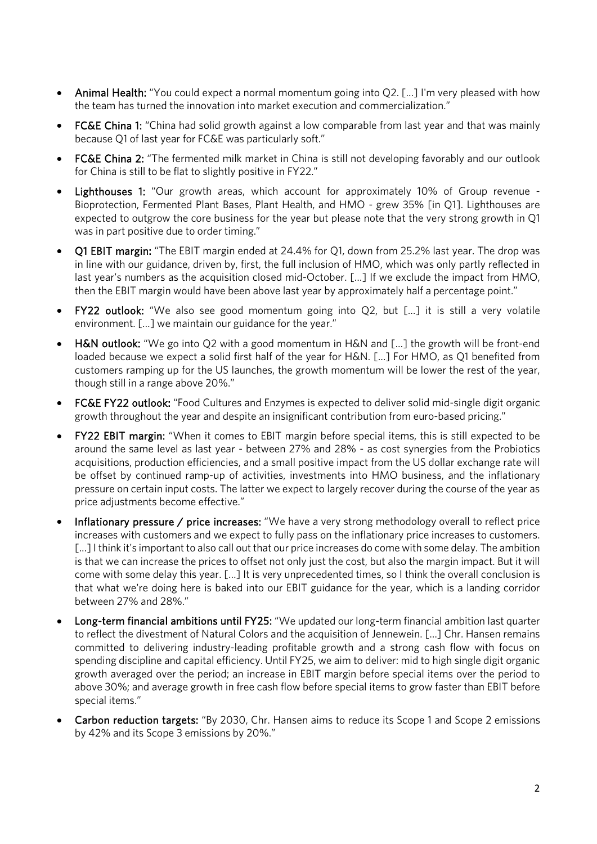- Animal Health: "You could expect a normal momentum going into Q2. […] I'm very pleased with how the team has turned the innovation into market execution and commercialization."
- FC&E China 1: "China had solid growth against a low comparable from last year and that was mainly because Q1 of last year for FC&E was particularly soft."
- FC&E China 2: "The fermented milk market in China is still not developing favorably and our outlook for China is still to be flat to slightly positive in FY22."
- Lighthouses 1: "Our growth areas, which account for approximately 10% of Group revenue Bioprotection, Fermented Plant Bases, Plant Health, and HMO - grew 35% [in Q1]. Lighthouses are expected to outgrow the core business for the year but please note that the very strong growth in Q1 was in part positive due to order timing."
- Q1 EBIT margin: "The EBIT margin ended at 24.4% for Q1, down from 25.2% last year. The drop was in line with our guidance, driven by, first, the full inclusion of HMO, which was only partly reflected in last year's numbers as the acquisition closed mid-October. […] If we exclude the impact from HMO, then the EBIT margin would have been above last year by approximately half a percentage point."
- **FY22 outlook:** "We also see good momentum going into Q2, but [...] it is still a very volatile environment. […] we maintain our guidance for the year."
- H&N outlook: "We go into Q2 with a good momentum in H&N and […] the growth will be front-end loaded because we expect a solid first half of the year for H&N. […] For HMO, as Q1 benefited from customers ramping up for the US launches, the growth momentum will be lower the rest of the year, though still in a range above 20%."
- FC&E FY22 outlook: "Food Cultures and Enzymes is expected to deliver solid mid-single digit organic growth throughout the year and despite an insignificant contribution from euro-based pricing."
- FY22 EBIT margin: "When it comes to EBIT margin before special items, this is still expected to be around the same level as last year - between 27% and 28% - as cost synergies from the Probiotics acquisitions, production efficiencies, and a small positive impact from the US dollar exchange rate will be offset by continued ramp-up of activities, investments into HMO business, and the inflationary pressure on certain input costs. The latter we expect to largely recover during the course of the year as price adjustments become effective."
- Inflationary pressure / price increases: "We have a very strong methodology overall to reflect price increases with customers and we expect to fully pass on the inflationary price increases to customers. […] I think it's important to also call out that our price increases do come with some delay. The ambition is that we can increase the prices to offset not only just the cost, but also the margin impact. But it will come with some delay this year. […] It is very unprecedented times, so I think the overall conclusion is that what we're doing here is baked into our EBIT guidance for the year, which is a landing corridor between 27% and 28%."
- Long-term financial ambitions until FY25: "We updated our long-term financial ambition last quarter to reflect the divestment of Natural Colors and the acquisition of Jennewein. […] Chr. Hansen remains committed to delivering industry-leading profitable growth and a strong cash flow with focus on spending discipline and capital efficiency. Until FY25, we aim to deliver: mid to high single digit organic growth averaged over the period; an increase in EBIT margin before special items over the period to above 30%; and average growth in free cash flow before special items to grow faster than EBIT before special items."
- Carbon reduction targets: "By 2030, Chr. Hansen aims to reduce its Scope 1 and Scope 2 emissions by 42% and its Scope 3 emissions by 20%."